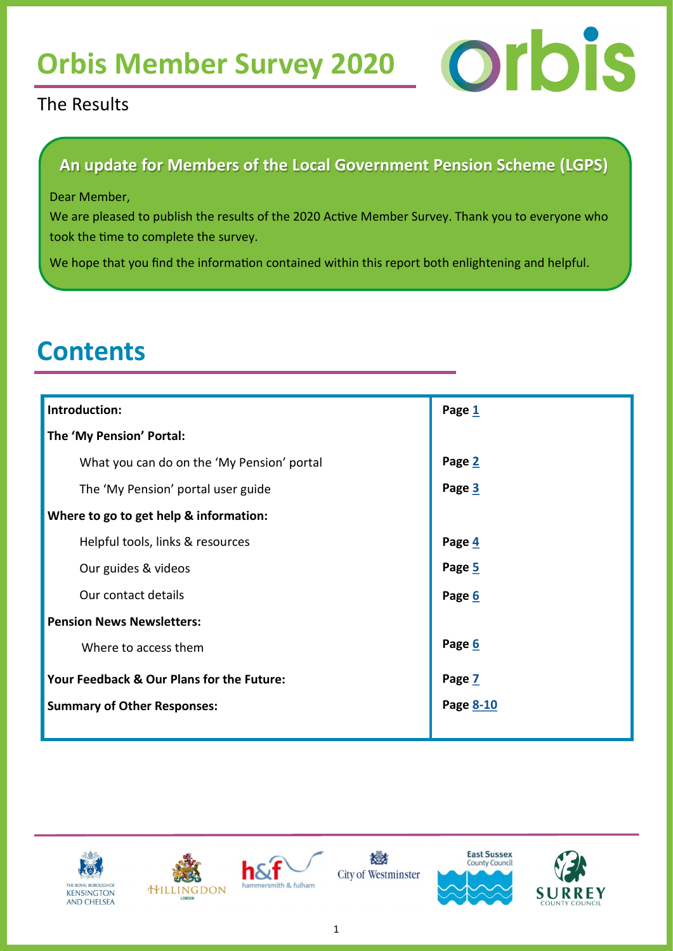# <span id="page-0-0"></span>Orbis Member Survey 2020 **Orbis**

### The Results

### **An update for Members of the Local Government Pension Scheme (LGPS)**

#### Dear Member,

We are pleased to publish the results of the 2020 Active Member Survey. Thank you to everyone who took the time to complete the survey.

We hope that you find the information contained within this report both enlightening and helpful.

### **Contents**

| Introduction:                              | Page 1    |
|--------------------------------------------|-----------|
| The 'My Pension' Portal:                   |           |
| What you can do on the 'My Pension' portal | Page 2    |
| The 'My Pension' portal user guide         | Page 3    |
| Where to go to get help & information:     |           |
| Helpful tools, links & resources           | Page 4    |
| Our guides & videos                        | Page 5    |
| Our contact details                        | Page 6    |
| <b>Pension News Newsletters:</b>           |           |
| Where to access them                       | Page 6    |
| Your Feedback & Our Plans for the Future:  | Page 7    |
| <b>Summary of Other Responses:</b>         | Page 8-10 |
|                                            |           |











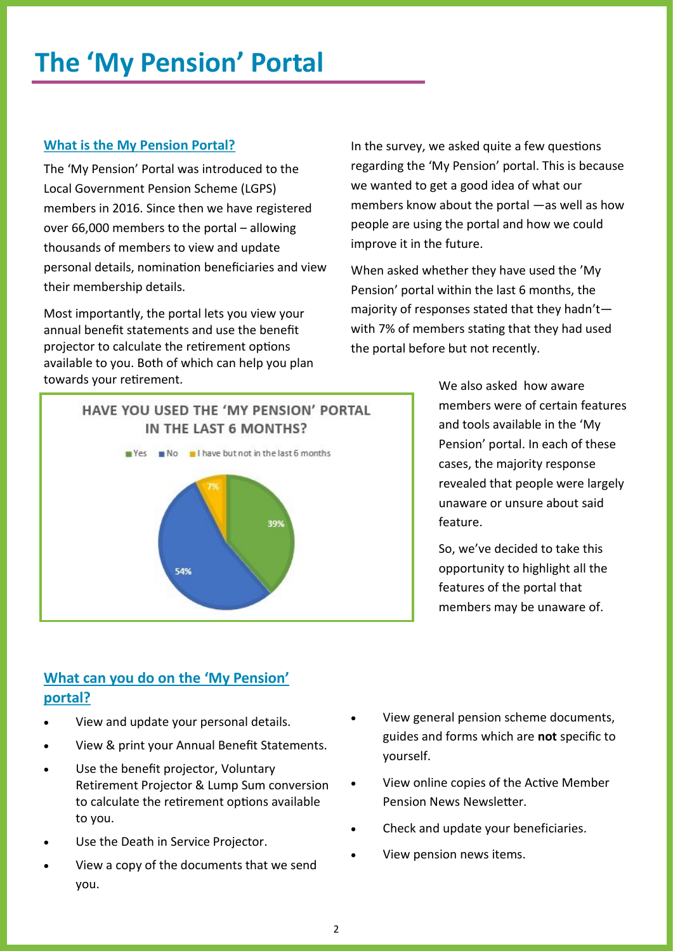### <span id="page-1-0"></span>**The 'My Pension' Portal**

### **What is the My Pension Portal?**

The 'My Pension' Portal was introduced to the Local Government Pension Scheme (LGPS) members in 2016. Since then we have registered over 66,000 members to the portal – allowing thousands of members to view and update personal details, nomination beneficiaries and view their membership details.

Most importantly, the portal lets you view your annual benefit statements and use the benefit projector to calculate the retirement options available to you. Both of which can help you plan towards your retirement.

In the survey, we asked quite a few questions regarding the 'My Pension' portal. This is because we wanted to get a good idea of what our members know about the portal —as well as how people are using the portal and how we could improve it in the future.

When asked whether they have used the 'My Pension' portal within the last 6 months, the majority of responses stated that they hadn't with 7% of members stating that they had used the portal before but not recently.



We also asked how aware members were of certain features and tools available in the 'My Pension' portal. In each of these cases, the majority response revealed that people were largely unaware or unsure about said feature.

So, we've decided to take this opportunity to highlight all the features of the portal that members may be unaware of.

### **What can you do on the 'My Pension' portal?**

- View and update your personal details.
- View & print your Annual Benefit Statements.
- Use the benefit projector, Voluntary Retirement Projector & Lump Sum conversion to calculate the retirement options available to you.
- Use the Death in Service Projector.
- View a copy of the documents that we send you.
- View general pension scheme documents, guides and forms which are **not** specific to yourself.
- View online copies of the Active Member Pension News Newsletter.
- Check and update your beneficiaries.
- View pension news items.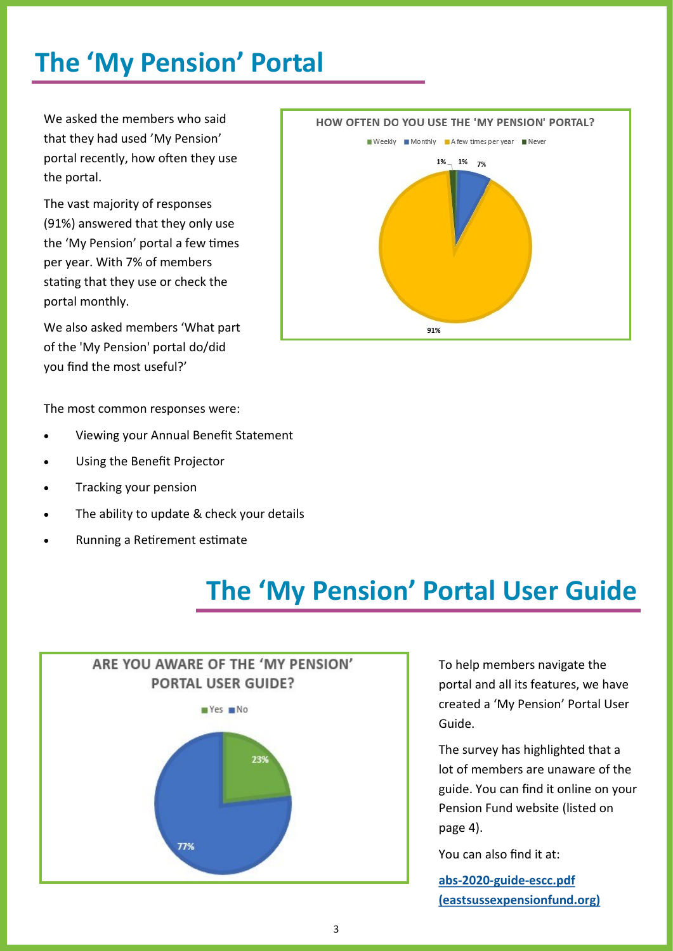### <span id="page-2-0"></span>**The 'My Pension' Portal**

We asked the members who said that they had used 'My Pension' portal recently, how often they use the portal.

The vast majority of responses (91%) answered that they only use the 'My Pension' portal a few times per year. With 7% of members stating that they use or check the portal monthly.

We also asked members 'What part of the 'My Pension' portal do/did you find the most useful?'

The most common responses were:

- Viewing your Annual Benefit Statement
- Using the Benefit Projector
- Tracking your pension
- The ability to update & check your details
- Running a Retirement estimate



### **The 'My Pension' Portal User Guide**



To help members navigate the portal and all its features, we have created a 'My Pension' Portal User Guide.

The survey has highlighted that a lot of members are unaware of the guide. You can find it online on your Pension Fund website (listed on page 4).

You can also find it at:

**abs-2020-guide-[escc.pdf](https://www.eastsussexpensionfund.org/media/5981/abs-2020-guide-escc.pdf)  [\(eastsussexpensionfund.org\)](https://www.eastsussexpensionfund.org/media/5981/abs-2020-guide-escc.pdf)**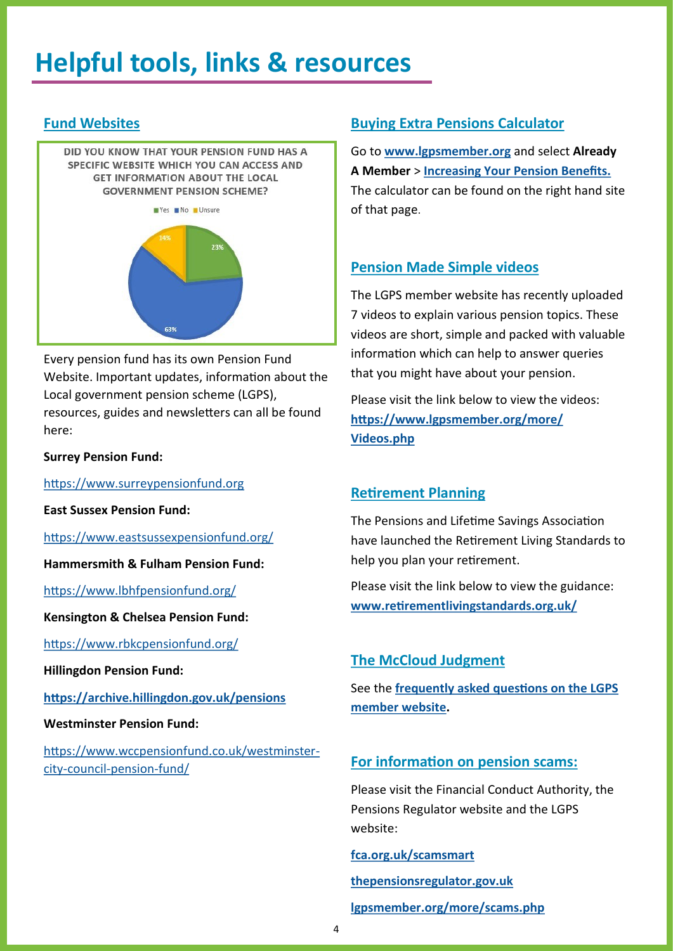### <span id="page-3-0"></span>**Helpful tools, links & resources**

### **Fund Websites**

DID YOU KNOW THAT YOUR PENSION FUND HAS A SPECIFIC WEBSITE WHICH YOU CAN ACCESS AND **GET INFORMATION ABOUT THE LOCAL GOVERNMENT PENSION SCHEME?** 



Every pension fund has its own Pension Fund Website. Important updates, information about the Local government pension scheme (LGPS), resources, guides and newsletters can all be found here:

#### **Surrey Pension Fund:**

<https://www.surreypensionfund.org>

#### **East Sussex Pension Fund:**

#### <https://www.eastsussexpensionfund.org/>

#### **Hammersmith & Fulham Pension Fund:**

[https://www.lbhfpensionfund.org/](https://www.lbhfpensionfund.org)

#### **Kensington & Chelsea Pension Fund:**

<https://www.rbkcpensionfund.org/>

**Hillingdon Pension Fund:** 

#### **<https://archive.hillingdon.gov.uk/pensions>**

#### **Westminster Pension Fund:**

[https://www.wccpensionfund.co.uk/westminster](https://www.wccpensionfund.co.uk/westminster-city-council-pension-fund/)city-council-[pension](https://www.wccpensionfund.co.uk/westminster-city-council-pension-fund/)-fund/

### **Buying Extra Pensions Calculator**

Go to **[www.lgpsmember.org](https://www.lgpsmember.org)** and select **Already A Member** > **[Increasing Your Pension Benefits.](https://www.lgpsmember.org/arm/already-member-extra.php)** The calculator can be found on the right hand site of that page.

#### **Pension Made Simple videos**

The LGPS member website has recently uploaded 7 videos to explain various pension topics. These videos are short, simple and packed with valuable information which can help to answer queries that you might have about your pension.

Please visit the link below to view the videos: **[https://www.lgpsmember.org/more/](https://www.lgpsmember.org/more/Videos.php) [Videos.php](https://www.lgpsmember.org/more/Videos.php)**

#### **Retirement Planning**

The Pensions and Lifetime Savings Association have launched the Retirement Living Standards to help you plan your retirement.

Please visit the link below to view the guidance: **[www.retirementlivingstandards.org.uk/](http://www.retirementlivingstandards.org.uk/)**

#### **The McCloud Judgment**

See the **[frequently asked questions on the LGPS](https://www.lgpsmember.org/news/story/mccloud_qanda.php)  [member website.](https://www.lgpsmember.org/news/story/mccloud_qanda.php)** 

#### **For information on pension scams:**

Please visit the Financial Conduct Authority, the Pensions Regulator website and the LGPS website:

#### **[fca.org.uk/scamsmart](https://www.fca.org.uk/scamsmart)**

**[thepensionsregulator.gov.uk](https://www.thepensionsregulator.gov.uk/) [lgpsmember.org/more/scams.php](https://lgpsmember.org/more/scams.php)**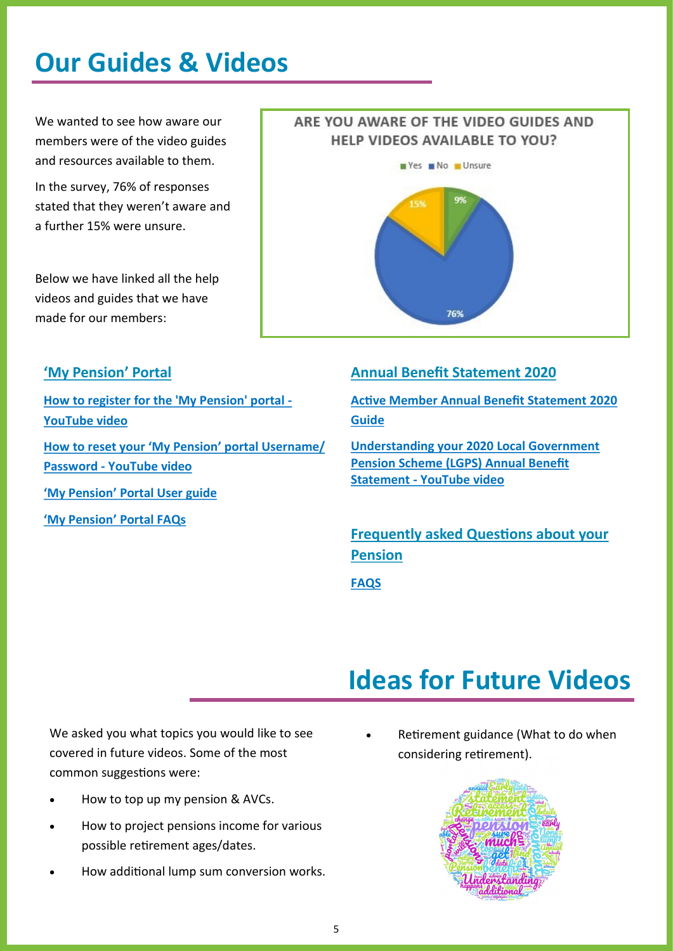### <span id="page-4-0"></span>**Our Guides & Videos**

We wanted to see how aware our members were of the video guides and resources available to them.

In the survey, 76% of responses stated that they weren't aware and a further 15% were unsure.

Below we have linked all the help videos and guides that we have made for our members:

### ARE YOU AWARE OF THE VIDEO GUIDES AND HELP VIDEOS AVAILABLE TO YOU?



### **'My Pension' Portal**

**[How to register for the 'My Pension' portal](https://www.youtube.com/watch?v=oNQeWrq9RTo) - [YouTube](https://www.youtube.com/watch?v=oNQeWrq9RTo) video**

**[How to reset your](https://www.youtube.com/watch?v=Quvb92SavpQ) 'My Pension' portal Username/ [Password](https://www.youtube.com/watch?v=Quvb92SavpQ) - YouTube video**

**'My Pension' [Portal User guide](file:///G:/CS Pens Team/COMMUNICATIONS TEAM/Member self service/Guides/2020 Guides/Master Copies - All Funds/PDF Versions/MSS Guide Active Members 2020 - ESCC.pdf)**

**'My Pension' [Portal FAQs](file:///G:/CS Pens Team/COMMUNICATIONS TEAM/Member self service/ABS FAQS 2020/Frequently Asked Questions ESCC.pdf)**

### **Annual Benefit Statement 2020**

**[Active Member Annual Benefit Statement 2020](https://www.eastsussexpensionfund.org/media/5981/abs-2020-guide-escc.pdf)  [Guide](https://www.eastsussexpensionfund.org/media/5981/abs-2020-guide-escc.pdf)**

**[Understanding your 2020 Local Government](https://www.youtube.com/watch?v=SGZGruDD82A&feature=youtu.be)  [Pension Scheme \(LGPS\) Annual Benefit](https://www.youtube.com/watch?v=SGZGruDD82A&feature=youtu.be)  [Statement](https://www.youtube.com/watch?v=SGZGruDD82A&feature=youtu.be) - YouTube video** 

**Frequently asked Questions about your Pension**

**[FAQS](https://www.eastsussexpensionfund.org/media/5979/frequently-asked-questions-escc.pdf)**

### **Ideas for Future Videos**

We asked you what topics you would like to see covered in future videos. Some of the most common suggestions were:

- How to top up my pension & AVCs.
- How to project pensions income for various possible retirement ages/dates.
- How additional lump sum conversion works.

Retirement guidance (What to do when considering retirement).

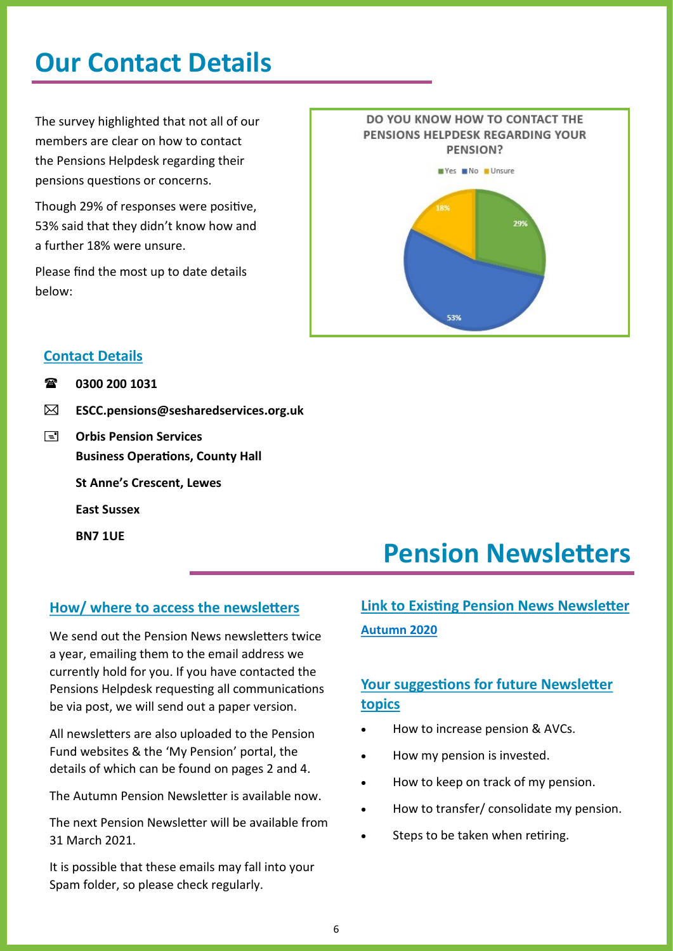### <span id="page-5-0"></span>**Our Contact Details**

The survey highlighted that not all of our members are clear on how to contact the Pensions Helpdesk regarding their pensions questions or concerns.

Though 29% of responses were positive, 53% said that they didn't know how and a further 18% were unsure.

Please find the most up to date details below:



### **Contact Details**

- **0300 200 1031**
- **[ESCC.pensions@sesharedservices.org.uk](mailto:ESCC.pensions@sesharedservices.org.uk)**
- **E** Orbis Pension Services **Business Operations, County Hall**

**St Anne's Crescent, Lewes** 

**East Sussex** 

**BN7 1UE** 

### **How/ where to access the newsletters**

We send out the Pension News newsletters twice a year, emailing them to the email address we currently hold for you. If you have contacted the Pensions Helpdesk requesting all communications be via post, we will send out a paper version.

All newsletters are also uploaded to the Pension Fund websites & the 'My Pension' portal, the details of which can be found on pages 2 and 4.

The Autumn Pension Newsletter is available now.

The next Pension Newsletter will be available from 31 March 2021.

It is possible that these emails may fall into your Spam folder, so please check regularly.

### **Pension Newsletters**

### **Link to Existing Pension News Newsletter [Autumn 2020](https://www.eastsussexpensionfund.org/media/5973/autumn-active-employee-newsletter-escc-v2.pdf)**

### **Your suggestions for future Newsletter topics**

- How to increase pension & AVCs.
- How my pension is invested.
- How to keep on track of my pension.
- How to transfer/ consolidate my pension.
- Steps to be taken when retiring.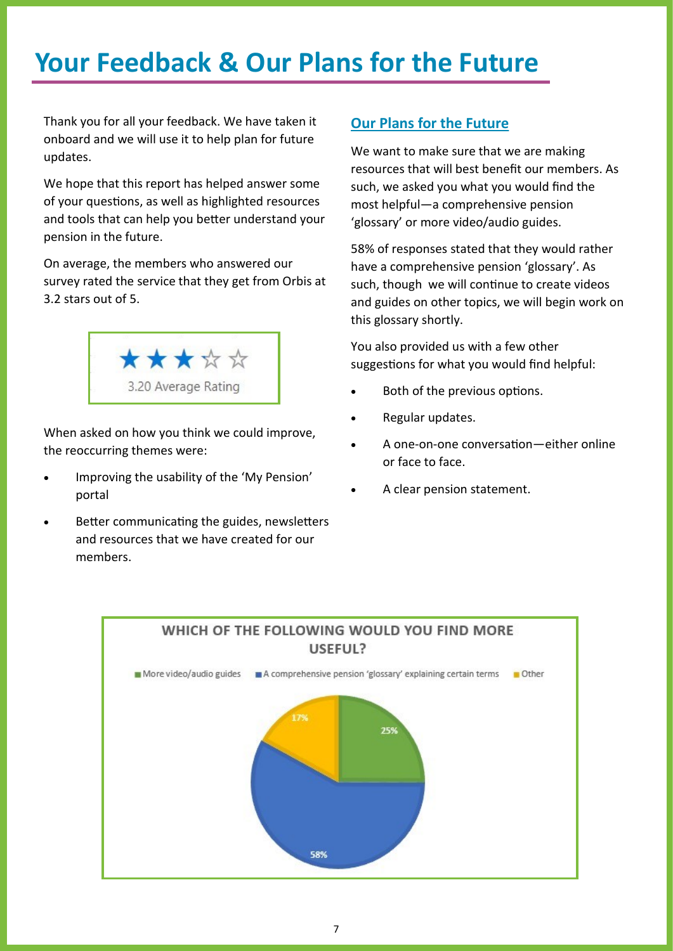### <span id="page-6-0"></span>**Your Feedback & Our Plans for the Future**

Thank you for all your feedback. We have taken it onboard and we will use it to help plan for future updates.

We hope that this report has helped answer some of your questions, as well as highlighted resources and tools that can help you better understand your pension in the future.

On average, the members who answered our survey rated the service that they get from Orbis at 3.2 stars out of 5.



When asked on how you think we could improve, the reoccurring themes were:

- Improving the usability of the 'My Pension' portal
- Better communicating the guides, newsletters and resources that we have created for our members.

### **Our Plans for the Future**

We want to make sure that we are making resources that will best benefit our members. As such, we asked you what you would find the most helpful—a comprehensive pension 'glossary' or more video/audio guides.

58% of responses stated that they would rather have a comprehensive pension 'glossary'. As such, though we will continue to create videos and guides on other topics, we will begin work on this glossary shortly.

You also provided us with a few other suggestions for what you would find helpful:

- Both of the previous options.
- Regular updates.
- A one-on-one conversation—either online or face to face.
- A clear pension statement.

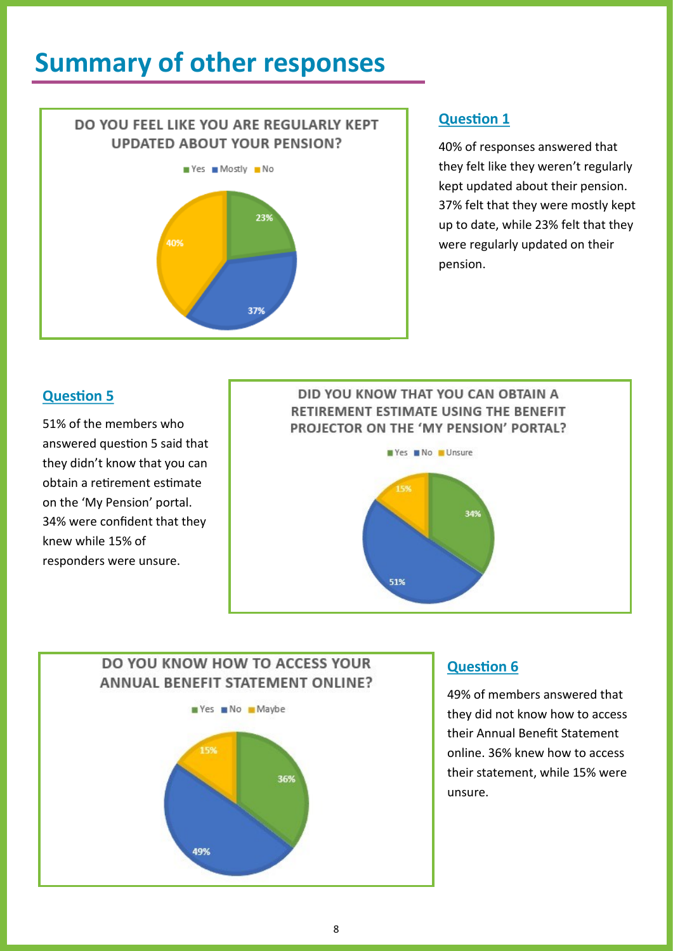### <span id="page-7-0"></span>**Summary of other responses**

## DO YOU FEEL LIKE YOU ARE REGULARLY KEPT **UPDATED ABOUT YOUR PENSION?**  $Yes$  Mostly No 23% 40% 37%

### **Question 1**

40% of responses answered that they felt like they weren't regularly kept updated about their pension. 37% felt that they were mostly kept up to date, while 23% felt that they were regularly updated on their pension.

### **Question 5**

51% of the members who answered question 5 said that they didn't know that you can obtain a retirement estimate on the 'My Pension' portal. 34% were confident that they knew while 15% of responders were unsure.

### DID YOU KNOW THAT YOU CAN OBTAIN A RETIREMENT ESTIMATE USING THE BENEFIT PROJECTOR ON THE 'MY PENSION' PORTAL? Yes No Unsure



### DO YOU KNOW HOW TO ACCESS YOUR **ANNUAL BENEFIT STATEMENT ONLINE?**



### **Question 6**

49% of members answered that they did not know how to access their Annual Benefit Statement online. 36% knew how to access their statement, while 15% were unsure.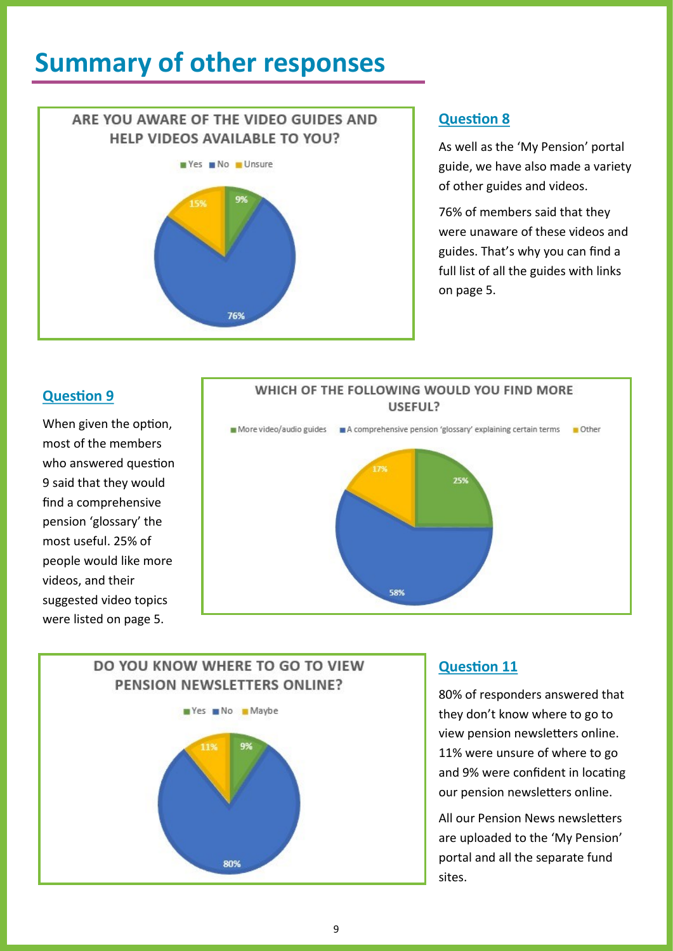### <span id="page-8-0"></span>**Summary of other responses**

## ARE YOU AWARE OF THE VIDEO GUIDES AND **HELP VIDEOS AVAILABLE TO YOU?** Yes No Unsure 76%

### **Question 8**

As well as the 'My Pension' portal guide, we have also made a variety of other guides and videos.

76% of members said that they were unaware of these videos and guides. That's why you can find a full list of all the guides with links on page 5.

### **Question 9**

When given the option, most of the members who answered question 9 said that they would find a comprehensive pension 'glossary' the most useful. 25% of people would like more videos, and their suggested video topics were listed on page 5.





### **Question 11**

80% of responders answered that they don't know where to go to view pension newsletters online. 11% were unsure of where to go and 9% were confident in locating our pension newsletters online.

All our Pension News newsletters are uploaded to the 'My Pension' portal and all the separate fund sites.